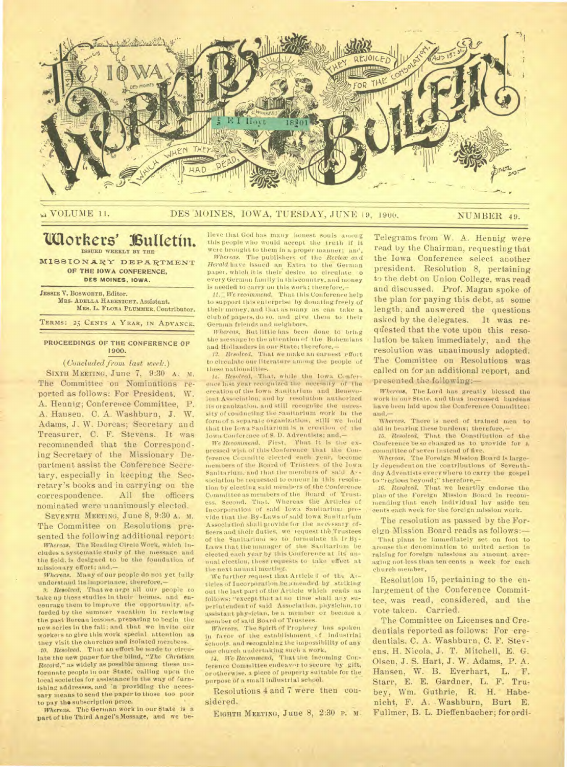

**N VOLUME 11.** 

## DES MOINES, IOWA, TUESDAY, JUNE 19, 1900.

NUMBER 49.

#### Workers' Bulletin. ISSUED WEEKLY BY THE

MISSIONARY DEPARTMENT OF THE IOWA CONFERENCE, DES MOINES, IOWA.

JESSIE V. BOSWORTH, Editor. MRS. ADELLA HABENICHT, Assistant. MRS. L. FLORA PLUMMER, Contributor.

TERMS: 25 CENTS A YEAR, IN ADVANCE.

## PROCEEDINGS OF THE CONFERENCE OF 1900.

(Concluded from last week.)

SIXTH MEETING, June 7, 9:30 A. M. The Committee on Nominations reported as follows: For President. W. A. Hennig; Conference Committee, P. A. Hansen, C. A. Washburn, J. W. Adams, J. W. Dorcas; Secretary and Treasurer, C. F. Stevens. It was recommended that the Corresponding Secretary of the Missionary Department assist the Conference Secretary, especially in keeping the Secretary's books and in carrying on the correspondence. All the officers nominated were unanimously elected.

SEVENTH MEETING, June 8, 9:30 A. M. The Committee on Resolutions presented the following additional report:

Whereas, The Reading Circle Work, which Includes a systematic study of the message and the field, is designed to be the foundation of missionary effort; and.-

Whereas. Many of our people do not yet fully understand its importance; therefore,-

9. Resolved, That we arge all our people to take up these studies in their homes, and encourage them to improve the opportunity afforded by the summer vacation in reviewing the past Berean lessons, preparing to begin the new series in the fall; and that we invite our workers to give this work special attention as they visit the churches and isolated members. 10. Resolved. That an effort be made to circulate the new paper for the blind, "The Christian Record," as widely as possible among these unforunate people in our State, calling upon the local societies for assistance in the way of furnishing addresses, and 'n providing the necessary means to send the paper to those too poor to pay the subscription price.

Whereas. The German work in our State is a part of the Third Angel's Message, and we believe that God has many honest souls among this people who would accept the truth if it were brought to them in a proper manner; and

Whereas. The publishers of the Review and Herald have issued an Extra to the German paper, which it is their desire to circulate o every German family in this country, and money is needed to carry on this work; therefore,-

11. We recommend, That this Conference help to support this enterprise by donating freely of their money, and that as many as can take a club of papers, do so, and give them to their German friends and neighbors.

Whereas, But little has been done to bring the message to the attention of the Bohemians and Hollanders in our State; therefore,-

12. Resolved. That we make an earnest effort to circulate our literature among the people of these nationalities.

15. Resolved, That, while the lown Conference last year recognized the necessity of the creation of the Iowa Sanitarium and Benevolent Association, and by resolution authorized<br>its organization, and still recognize the necessity of conducting the Sanitarium work in the form of a separate organization, still we hold<br>that the Iowa Sanitarium is a creation of the Iowa Conference of S. D. Adventists; and,-

We Recommend. First, That it is the expressed wish of this Conference that the Conference Committe elected each year, become members of the Roard of Trustees of the lown Sanitarium, and that the members of said Avsociation be requested to concur in this resolution by electing said members of the Conference Committee as members of the Board of Trustess. Second. That, Whereas the Articles of Incorporation of said Iowa Sanitarium provide that the By-Laws of said lowa Sanitarium Association shall provide for the necessary officers and their duties, we request the Trustees of the Sanitarium so to formulate th ir By-Laws that the manager of the Sanitarium be elected each year by this Conference at its anmual election, these requests to take effect at the next annual meeting.

We further request that Article 6 of the Atticles of Incorporation be amended by striking out the last part of the Article which reads as follows: "except that at no time shall any superintendent of said Association, physician, 10 assistant physician, be a member or become a member of said Board of Trustees.

Whereas. The Spirit of Prophecy has spoken in favor of the establishment of Industrial schools, and recognizing the impossibility of any one church undertaking such a work,

14. We Recommend, That the incoming Corference Committee endeavor to secure by gift, or otherwise, a piece of property suitable for the purpose of a small industrial school.

Resolutions 4 and 7 were then considered.

EIGHTH MEETING, June 8, 2:30 P. M.

Telegrams from W. A. Hennig were read by the Chairman, requesting that the Iowa Conference select another president. Resolution 8, pertaining to the debt on Union College, was read and discussed. Prof. Magan spoke of the plan for paying this debt, at some length, and answered the questions asked by the delegates. It was requested that the vote upon this resolution be taken immediately, and the resolution was unanimously adopted. The Committee on Resolutions was called on for an additional report, and presented the following:-

Whereas, The Lord has greatly blessed the work in our State, and thus Increased burdens have been laid upon the Conference Committee; and.-

Whereas, There is need of trained men to aid in bearing these burdens; therefore,-

15. Resolved, That the Constitution of the Conference be so changed as to provide for a committee of seven instead of five.

Whereas, The Foreign Mission Board is largely dependent on the contributions of Seventhday Adventists everywhere to carry the gospel to "regions beyond;" therefore,-

16. Resolved, That we heartily endorse the plan of the Foreign Mission Board in recom-<br>mending that each individual lay aside ten cents each week for the foreign mission work.

The resolution as passed by the Foreign Mission Board reads as follows:-

That plans be immediately set on foot to arouse the denomination to united action in raising for foreign missions an amount averaging not less than ten cents a week for each church member.

Resolution 15, pertaining to the enlargement of the Conference Committee, was read, considered, and the vote taken. Carried.

The Committee on Licenses and Credentials reported as follows: For credentials. C. A. Washburn, C. F. Stevens, H. Nicola, J. T. Mitchell, E. G. Olsen, J. S. Hart, J. W. Adams, P. A. Hansen, W. B. Everhart, L. F. Starr, E. E. Gardner, L. F. Trubey, Wm. Guthrie, R. H. Habenicht, F. A. Washburn, Burt E. Fullmer, B. L. Dieffenbacher; for ordi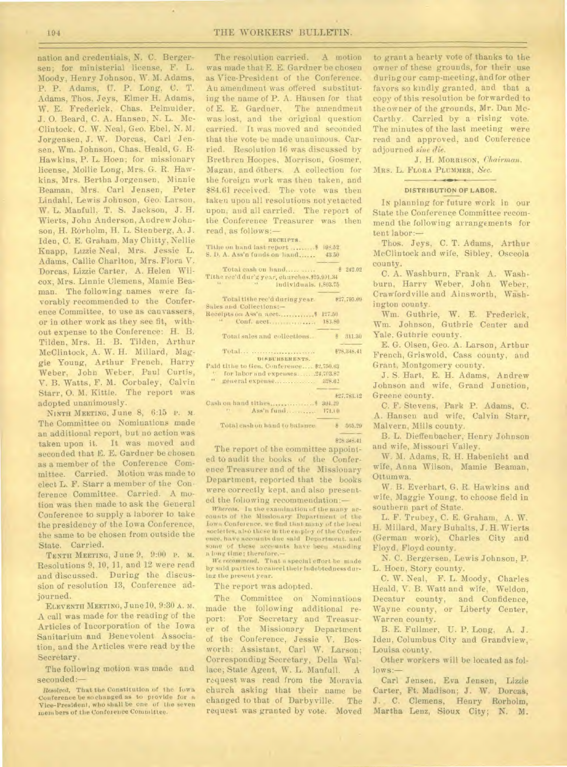194 THE WORKERS' BULLETIN.

nation and credentials, N. C. Bergersen; for ministerial license, F. L. Moody, Henry Johnson, W. M. Adams, P. P. Adams, U. P. Long, C. T. Adams, Thos. Jeys, Elmer H. Adams, W. E. Frederick, Chas. Pelmulder, J. 0. Beard, C. A. Hansen, N. L. Mc-Clintock, C. W. Neal, Geo. Ebel, N. M. Jorgensen, J. W. Dorcas, Carl Jensen, Wm. Johnson, Chas. Heald, G. R. Hawkins, P. L. Hoen; for missionary license, Mollie Long, Mrs. G. R. Hawkins, Mrs. Bertha Jorgensen, Minnie Beaman, Mrs. Carl Jensen, Peter Lindahl, Lewis Johnson, Geo. Larson, W. L. Manful], T. S. Jackson, J. H. Wierts, John Anderson, Andrew Johnson, H. Rorholm, H. L. Sten berg, A. J. Idea, C. E. Graham, May Chitty, Nellie Knapp, Lizzie Neal, Mrs. Jessie L. Adams, Callie Charlton, Mrs. Flora V. Dorcas, Lizzie Carter, A. Helen Wilcox, Mrs. Linnie Clemens, Mamie Beaman. The following names were favorably recommended to the Conference Committee, to use as canvassers, or in other work as they see fit, without expense to the Conference: H. B. Tilden, Mrs. H. B. Tilden, Arthur McClintock, A. W. H. Millard, Maggie Young, Arthur French, Harry Weber, John Weber, Paul Curtis, V. B. Watts, F. M. Corbaley, Calvin Starr, 0. M. Kittle. The report was adopted unanimously.

NINTH MEETING, June 8, 6:15 P. M. The Committee on Nominations made an additional report, but no action was taken upon it. It was moved and seconded that E. E. Gardner be chosen as a member of the Conference Committee. Carried. Motion was made to elect L. F. Starr a member of the Conference Committee. Carried. A motion was then made to ask the General Conference to supply a laborer to take the presidency of the Iowa Conference, the same to be chosen from outside the State. Carried.

TENTH MEETING, June 9, 9:00 P. M. Resolutions 9, 10, 11, and 12 were read and discussed. During the discussion of resolution 13, Conference adjourned.

ELEVENTH MEETING, June 10, 9:30 A. M. A call was made for the reading of the Articles of Incorporation of the Iowa Sanitarium and Benevolent Association, and the Articles were read by the Secretary.

The following motion was made and seconded:—

Resolved, That the Constitution of the Iowa Conference be so changed as to provide for a Vice-President, who shall be one of the seven members of the Conference Committee.

The resolution carried. A motion was made that E. E. Gardner be chosen as Vice-President of the Conference. An amendment was offered substituting the name of P. A. Hansen for that of E. E. Gardner. The amendment was lost, and the original question carried. It was moved and seconded that the vote be made unanimous. Carried. Resolution 16 was discussed by Brethren Hoopes, Morrison, Gosmer, Magau, and Others. A collection for the foreign work was then taken, and \$84.61 received. The vote was then taken upon all resolutions not yetacted upon, and all carried. The report of the Conference Treasurer was then read, as follows:—

RECEIPTS. Tithe on hand last report .......... \$ 195.52 S. D. A. Ass'n funds on hand...... 43.50

| Total cash on hand                                                                                              |        | 3242.02      |
|-----------------------------------------------------------------------------------------------------------------|--------|--------------|
| Tithe rec'd dur'g year, charches, \$25,991.34                                                                   |        |              |
| w individuals. 1,803.75                                                                                         |        |              |
| Total tithe rec'd during year.                                                                                  |        | \$27,795.09  |
| Sales and Collections:-                                                                                         |        |              |
|                                                                                                                 | 127.50 |              |
| $14.1 - 1$<br>Conf. acct.                                                                                       | 183.80 |              |
| Total sales and collections                                                                                     |        | 311.30       |
| Total                                                                                                           |        | #28.348.41   |
| <b>DISBURSEMENTS.</b>                                                                                           |        |              |
| Paid titlig to Gen. Conference \$2,750.63                                                                       |        |              |
| H.<br>for labor and expenses24,703.87                                                                           |        |              |
| $\mathbf{a}$                                                                                                    |        |              |
|                                                                                                                 |        | $*27.783.12$ |
|                                                                                                                 |        |              |
| the contract of the contract of the contract of the contract of the contract of the contract of the contract of |        |              |

Ass'n fund ... ........ 171.10

Total cash on hand to balance \$ 565.29 \$28.348.41

The report of the committee appointed to audit the books of the Conference Treasurer and of the Missionary Department, reported that the books were correctly kept, and also presented the following recommendation:—

Whereas. In the examination of the many accounts of the Missionary Department of the Iowa Conference. we find that many of the local societies, also those In the employ of the Conference. have accounts due said Department. and some of these accounts have been standing a long time: therefore.-

We *recommend,* That a special effort be made by said parties to cancel their indebtedness during the present year.

The report was adopted.

The Committee on Nominations made the following additional report: For Secretary and Treasurer of the Missionary Department of the Conference, Jessie V. Bosworth; Assistant, Carl W. Larson; Corresponding Secretary, Della Wallace; State Agent, W. L. Manfull. A request was read from the Moravia church asking that their name be changed to that of Darbyville. The request was granted by vote. Moved

to grant a hearty vote of thanks to the owner of these grounds, for their use during our camp-meeting, and for other favors so kindly granted, and that a copy of this resolution be forwarded to theowner of the grounds, Mr. Dan Mc-Carthy. Carried by a rising vote. The minutes of the last meeting were read and approved, and Conference adjourned *sine die.* 

J. H. MORRISON, *Chairman.*  MRS. L. FLORA PLUMMER, *See.* 

### $\frac{1}{2}$ DISTRIBUTION OF LABOR.

IN planning for future work in our State the Conference Committee recommend the following arrangements for tent labor:—

Thos. Jeys, C. T. Adams, Arthur McClintock and wife, Sibley, Osceola county.

C. A. Washburn, Frank A. Washburn, Harry Weber, John Weber, Crawfordville and Ainsworth, Wishington county.

Wm. Guthrie, W. E. Frederick, Wm. Johnson, Guthrie Center and Yale, Guthrie county.

E. G. Olsen, Geo. A. Larson, Arthur French, Griswold, Cass county, and Grant, Montgomery county.

J. S. Hart, E. H. Adams, Andrew Johnson and wife, Grand Junction, Greene county.

C. F. Stevens, Park P. Adams, C. A. Hansen and wife, Calvin Starr, Malvern, Mills county.

B. L. Dieffenbacher, Henry Johnson and wife, Missouri Valley.

W. M. Adams, R. H. Habenicht and wife, Anna Wilson, Mamie Beaman, Ottumwa.

W. B. Everhart, G. R. Hawkins and wife, Maggie Young, to choose field in southern part of State.

L. F. Trubey, C. E. Graham, A. W. H. Millard, Mary Buhalts, J. H. Wierts (German work), Charles City and Floyd, Floyd county.

N. C. Bergersen, Lewis Johnson, P. L. Hoen, Story county.

C. W. Neal, F. L. Moody, Charles Heald, V. B. Watt and wife, Weldon, Decatur county, and Confidence, Wayne county, or Liberty Center, Warren county.

B. E. Fullmer, U. P. Long, A. J. Ideu, Columbus City and Grandview, Louisa county.

Other workers will be located as follows:—

Carl Jensen, Eva Jensen, Lizzie Carter, Ft. Madison; J. W. Dorcas, J. C. Clemens, Henry Rorholm, Martha Lenz, Sioux City; N. M.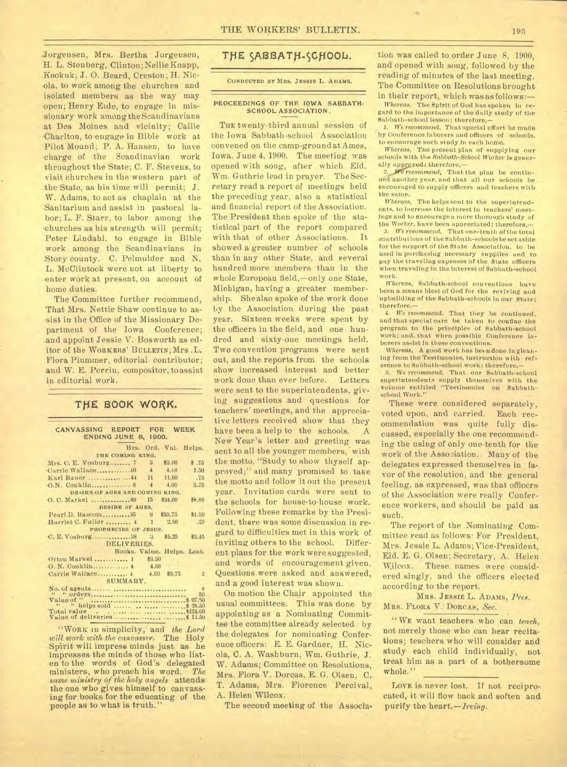Jorgensen, Mrs. Bertha Jorgensen, H. L. Stenberg, Clinton; NellieKnapp, Keokuk; J. 0. Beard, Creston; H. Nicola, to work among the churches and isolated members as the way may open; Henry Eide, to engage in missionary work among the Scandinavians at Des Moines and vicinity; Callie Charlton, to engage in Bible work at Pilot Mound; P. A. Hansen, to have -charge of the Scandinavian work throughout the State; C. F. Stevens, to visit churches in the western part of the State, as his time will permit; J. W. Adams, to act as chaplain at the Sanitarium and assist in pastoral labor; L. F. Starr, to labor among the churches as his strength will permit; Peter Lindahl, to engage in Bible work among the Scandinavians in Story county. C. Pelmulder and N. L. McClintock were not at liberty to enter work at present, on account of home duties.

The Committee further recommend, That Mrs. Nettie Shaw continue to assist in the Office of the Missionary Department of the Iowa Conference; and appoint Jessie V: Bosworth as editor of the WORKERS' BULLETIN; Mrs .L. Flora Plummer, editorial contributor; and W. E. Perrin, compositor, to assist in editorial work.

## THE BOOK WORK.

| CANVASSING REPORT FOR WEEK<br><b>ENDING JUNE 8, 1900.</b> |                            |        |                |  |
|-----------------------------------------------------------|----------------------------|--------|----------------|--|
|                                                           | Hrs. Ord. Val. Helps.      |        |                |  |
| THE COMING KING.                                          |                            |        |                |  |
| Mrs. C. E. Vosburg 7                                      | $\frac{3}{2}$              | \$3.00 | 8.75           |  |
|                                                           |                            | 4.00   | 1.50           |  |
| Karl Bauer  44 11                                         |                            | 11.00  | .75            |  |
|                                                           |                            | 4.00   | 3.75           |  |
| DEAIRS OF AGES AND COMING KING.                           |                            |        |                |  |
|                                                           | 15                         | 834.00 | <b>\$8.80</b>  |  |
| DESIRE OF AGES.                                           |                            |        |                |  |
| Pearl D. Bascom 35 9 833.75                               |                            |        | \$1.50         |  |
| Harriet C. Fuller  4 1 2.50                               |                            |        | .25            |  |
| PROPHECIES OF JESUS.                                      |                            |        |                |  |
| $C. E. Voshurg$ $38$                                      | $3\quad 85.25$             |        | 83.45          |  |
| DELIVERIES.                                               |                            |        |                |  |
|                                                           | Books. Value. Helps. Lost. |        |                |  |
| Orton Markel  1 \$3.50                                    |                            |        |                |  |
| O. N. Conklin,  4 4.00                                    |                            |        |                |  |
| Carrie Wallace 4 4.00                                     |                            | 85.75  | $\overline{2}$ |  |
| SUMMARY.                                                  |                            |        |                |  |
|                                                           |                            |        | 8              |  |
|                                                           |                            |        | 50             |  |
| Value of "                                                |                            |        |                |  |
|                                                           |                            |        |                |  |
|                                                           |                            |        |                |  |
|                                                           |                            |        |                |  |

"WORK in simplicity, and *the Lord will work with the canvasser.* The Holy .Spirit will impress minds just as he impresses the minds of those who listen to the words of God's delegated ministers, who preach his word. *The same ministry of the holy angels* attends the one who gives himself to canvassing for books for the educating of the people as to what is truth."

# THE SABBATH-SCHOOL.

CONDUCTED BY MRS. JESSIE L. ADAMS.

#### **PROCEEDINGS OF THE IOWA SABBATH-SCHOOL ASSOCIATION.**

**THE** twenty-third annual session of the Iowa Sabbath-school Association convened on the camp-ground at Ames, Iowa, June 4,1900. The meeting was opened with song, after which Eld. Wm. Guthrie lead in prayer. The Secretary read a report of meetings held the preceding year, also a statistical and financial report of the Association. The President then spoke of the statistical part of the report compared with that of other Associations. It showed a greater number of schools than in any other State, and several hundred more members than in the whole European field,-only one State, Michigan, having a greater membership. She also spoke of the work done by the Association during the past year. Sixteen weeks were spent by the officers in the field, and one hundred and sixty-one meetings held. Two convention programs were sent out, and the reports from the schools show increased interest and better work done than ever before. Letters were sent to the superintendents, giving suggestions and questions for teachers' meetings, and the appreciative letters received show that they have been a help to the schools. A New Year's letter and greeting was sent to all the younger members, with the motto, "Study to show thyself approved;" and many promised to take the motto and follow it out the present year. Invitation cards were sent to the schools for house-to-house work. Following these remarks by the President, there was some discussion in regard to difficulties met in this work of inviting others to the school. Different plans for the work were suggested, and words of encouragement given. Questions were asked and answered, and a good interest was shown.

On motion the Chair appointed the usual committees. This was done by appointing as a Nominating Committee the committee already selected by the delegates for nominating Conference officers: E. E. Gardner, H. Nicola, C. A. Washburn, Wm. Guthrie, J. W. Adams; Committee on Resolutions, Mrs. Flora V. Dorcas, E. G. Olsen, C. T. Adams, Mrs. Florence Percival, A. Helen Wilcox.

The second meeting of the Associa-

tion was called to order June 8, 1900, and opened with song, followed by the reading of minutes of the last meeting. The Committee on Resolutions brought in their report, which was as follows:-

*Whereas.* The Spirit of God has spoken in regard to the importance of the daily study of the Sabbath-school lesson; therefore,-

1. We recommend, That special effort be made by Conference laborers and officers of schools. to encourage such study in each home.

*Whereas,* The present plan of supplying our schools with the *Sabbath-School Worker* is generally approved; therefore,-

Ire recommend, That the plan be continued another year. and that all our schools be encouraged to supply officers and teachers with the *same.* 

*Whereas,* The helps sent to the superintendents, to increase the interest in teachers' meetings and to encourage a more thorough study of the Worker, have been appreciated; therefore,

*3. We reeommend,* That one-tenth of the total contributions of the Sabbath-schools be set aside for the support of the State Association, to be used in purchasing necessary supplies and to pay the traveling expenses of the State officers when traveling in the interest of Sabbath-school<br>work.

Whereas, Sabbath-school conventions have been a means blest of God for the reviving and upbuilding of the Sabbath-schools in our State; therefore,-

*4. We recommend,* That they be continued, and that special care be taken to confine the program to the principles of Sabbath-school work; and, that when possible Conference laborers assist in these conventions.

Whereas, A good work has been done in gleaning from the Testimonies, instruction with reference to Sabbath-school work; therefore,-

5. We recommend, That. our Sabbath-school superintendents supply themselves with the volume entitled "Testimonies on Sabbathschool Work."

These were considered separately, voted upon, and carried. Each recommendation was quite fully discussed, especially the one recommending the using of only one-tenth for the work of the Association. Many of the delegates expressed themselves in favor of the resolution, and the general feeling, as expressed, was that officers of the Association were really Conference workers, and should be paid as such.

The report of the Nominating Committee read as follows: For President, Mrs. Jessie L. Adams; Vice-President, Eld. E. G. Olsen; Secretary, A. Helen Wilcox. These names were considered singly, and the officers elected according to the report.

MRS. **JESSIE** L. ADAMS, *Pres.*  **MRS. FLORA** V. DORCAS, *Sec.* 

" WE want teachers who can *teach,*  not merely those who can hear recitations; teachers who will consider and study each child individually, not treat him as a part of a bothersome **whole."** 

LOVE is never lost. If not reciprocated, it will flow back and soften and purify the heart. - *Irving*.